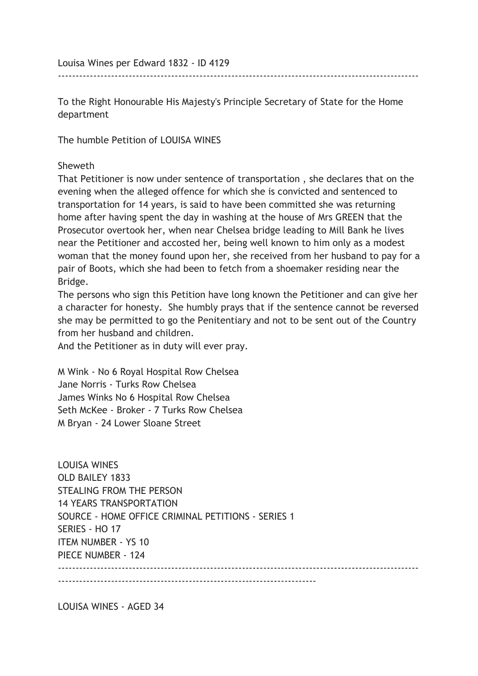Louisa Wines per Edward 1832 - ID 4129

To the Right Honourable His Majesty's Principle Secretary of State for the Home department

------------------------------------------------------------------------------------------------------

The humble Petition of LOUISA WINES

## **Sheweth**

That Petitioner is now under sentence of transportation , she declares that on the evening when the alleged offence for which she is convicted and sentenced to transportation for 14 years, is said to have been committed she was returning home after having spent the day in washing at the house of Mrs GREEN that the Prosecutor overtook her, when near Chelsea bridge leading to Mill Bank he lives near the Petitioner and accosted her, being well known to him only as a modest woman that the money found upon her, she received from her husband to pay for a pair of Boots, which she had been to fetch from a shoemaker residing near the Bridge.

The persons who sign this Petition have long known the Petitioner and can give her a character for honesty. She humbly prays that if the sentence cannot be reversed she may be permitted to go the Penitentiary and not to be sent out of the Country from her husband and children.

And the Petitioner as in duty will ever pray.

M Wink - No 6 Royal Hospital Row Chelsea Jane Norris - Turks Row Chelsea James Winks No 6 Hospital Row Chelsea Seth McKee - Broker - 7 Turks Row Chelsea M Bryan - 24 Lower Sloane Street

LOUISA WINES OLD BAILEY 1833 STEALING FROM THE PERSON 14 YEARS TRANSPORTATION SOURCE - HOME OFFICE CRIMINAL PETITIONS - SERIES 1 SERIES - HO 17 ITEM NUMBER - YS 10 PIECE NUMBER - 124 ------------------------------------------------------------------------------------------------------  $-$ 

LOUISA WINES - AGED 34